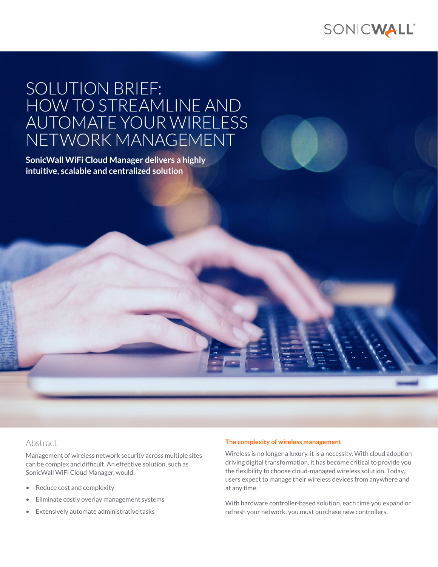

# SOLUTION BRIEF: HOW TO STREAMLINE AND AUTOMATE YOUR WIRELESS NETWORK MANAGEMENT

**SonicWall WiFi Cloud Manager delivers a highly intuitive, scalable and centralized solution**

# Abstract

Management of wireless network security across multiple sites can be complex and difficult. An effective solution, such as SonicWall WiFi Cloud Manager, would:

- Reduce cost and complexity
- Eliminate costly overlay management systems
- Extensively automate administrative tasks

#### **The complexity of wireless management**

Wireless is no longer a luxury, it is a necessity. With cloud adoption driving digital transformation, it has become critical to provide you the flexibility to choose cloud-managed wireless solution. Today, users expect to manage their wireless devices from anywhere and at any time.

With hardware controller-based solution, each time you expand or refresh your network, you must purchase new controllers.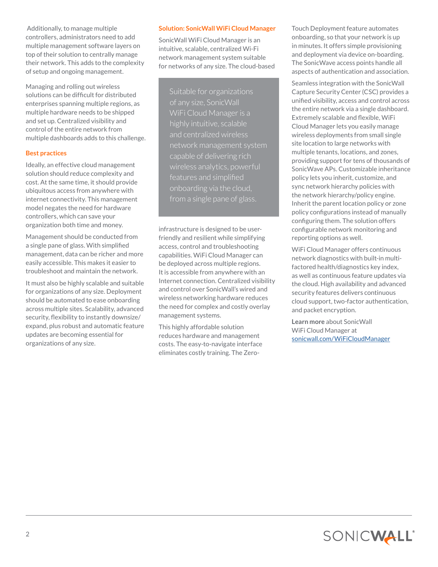Additionally, to manage multiple controllers, administrators need to add multiple management software layers on top of their solution to centrally manage their network. This adds to the complexity of setup and ongoing management.

Managing and rolling out wireless solutions can be difficult for distributed enterprises spanning multiple regions, as multiple hardware needs to be shipped and set up. Centralized visibility and control of the entire network from multiple dashboards adds to this challenge.

## **Best practices**

Ideally, an effective cloud management solution should reduce complexity and cost. At the same time, it should provide ubiquitous access from anywhere with internet connectivity. This management model negates the need for hardware controllers, which can save your organization both time and money.

Management should be conducted from a single pane of glass. With simplified management, data can be richer and more easily accessible. This makes it easier to troubleshoot and maintain the network.

It must also be highly scalable and suitable for organizations of any size. Deployment should be automated to ease onboarding across multiple sites. Scalability, advanced security, flexibility to instantly downsize/ expand, plus robust and automatic feature updates are becoming essential for organizations of any size.

## **Solution: SonicWall WiFi Cloud Manager**

SonicWall WiFi Cloud Manager is an intuitive, scalable, centralized Wi-Fi network management system suitable for networks of any size. The cloud-based

Suitable for organizations WiFi Cloud Manager is a highly intuitive, scalable and centralized wireless network management system capable of delivering rich features and simplified from a single pane of glass.

infrastructure is designed to be userfriendly and resilient while simplifying access, control and troubleshooting capabilities. WiFi Cloud Manager can be deployed across multiple regions. It is accessible from anywhere with an Internet connection. Centralized visibility and control over SonicWall's wired and wireless networking hardware reduces the need for complex and costly overlay management systems.

This highly affordable solution reduces hardware and management costs. The easy-to-navigate interface eliminates costly training. The ZeroTouch Deployment feature automates onboarding, so that your network is up in minutes. It offers simple provisioning and deployment via device on-boarding. The SonicWave access points handle all aspects of authentication and association.

Seamless integration with the SonicWall Capture Security Center (CSC) provides a unified visibility, access and control across the entire network via a single dashboard. Extremely scalable and flexible, WiFi Cloud Manager lets you easily manage wireless deployments from small single site location to large networks with multiple tenants, locations, and zones, providing support for tens of thousands of SonicWave APs. Customizable inheritance policy lets you inherit, customize, and sync network hierarchy policies with the network hierarchy/policy engine. Inherit the parent location policy or zone policy configurations instead of manually configuring them. The solution offers configurable network monitoring and reporting options as well.

WiFi Cloud Manager offers continuous network diagnostics with built-in multifactored health/diagnostics key index, as well as continuous feature updates via the cloud. High availability and advanced security features delivers continuous cloud support, two-factor authentication, and packet encryption.

**Learn more** about SonicWall WiFi Cloud Manager at [sonicwall.com/WiFiCloudManager](https://www.sonicwall.com/WiFiCloudManager)